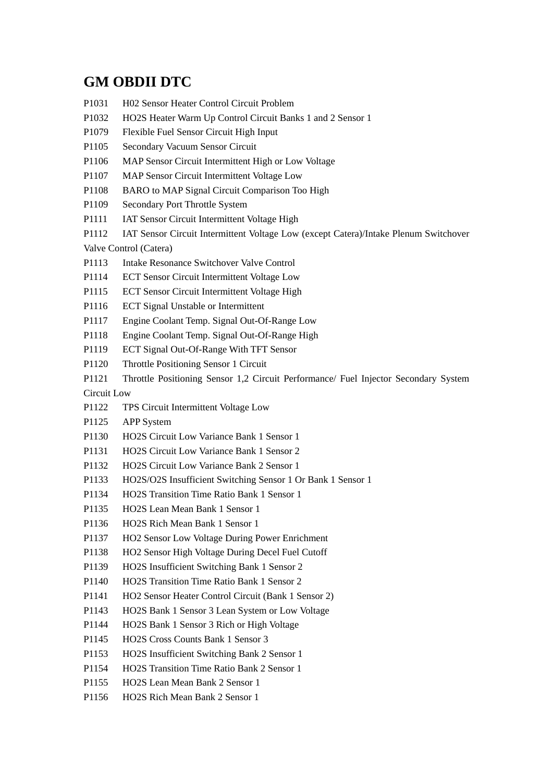## **GM OBDII DTC**

P1031 H02 Sensor Heater Control Circuit Problem P1032 HO2S Heater Warm Up Control Circuit Banks 1 and 2 Sensor 1 P1079 Flexible Fuel Sensor Circuit High Input P1105 Secondary Vacuum Sensor Circuit P1106 MAP Sensor Circuit Intermittent High or Low Voltage P1107 MAP Sensor Circuit Intermittent Voltage Low P1108 BARO to MAP Signal Circuit Comparison Too High P1109 Secondary Port Throttle System P1111 IAT Sensor Circuit Intermittent Voltage High P1112 IAT Sensor Circuit Intermittent Voltage Low (except Catera)/Intake Plenum Switchover Valve Control (Catera) P1113 Intake Resonance Switchover Valve Control P1114 ECT Sensor Circuit Intermittent Voltage Low P1115 ECT Sensor Circuit Intermittent Voltage High P1116 ECT Signal Unstable or Intermittent P1117 Engine Coolant Temp. Signal Out-Of-Range Low P1118 Engine Coolant Temp. Signal Out-Of-Range High P1119 ECT Signal Out-Of-Range With TFT Sensor P1120 Throttle Positioning Sensor 1 Circuit P1121 Throttle Positioning Sensor 1,2 Circuit Performance/ Fuel Injector Secondary System Circuit Low P1122 TPS Circuit Intermittent Voltage Low P1125 APP System P1130 HO2S Circuit Low Variance Bank 1 Sensor 1 P1131 HO2S Circuit Low Variance Bank 1 Sensor 2 P1132 HO2S Circuit Low Variance Bank 2 Sensor 1 P1133 HO2S/O2S Insufficient Switching Sensor 1 Or Bank 1 Sensor 1 P1134 HO2S Transition Time Ratio Bank 1 Sensor 1 P1135 HO2S Lean Mean Bank 1 Sensor 1 P1136 HO2S Rich Mean Bank 1 Sensor 1 P1137 HO2 Sensor Low Voltage During Power Enrichment P1138 HO2 Sensor High Voltage During Decel Fuel Cutoff P1139 HO2S Insufficient Switching Bank 1 Sensor 2 P1140 HO2S Transition Time Ratio Bank 1 Sensor 2 P1141 HO2 Sensor Heater Control Circuit (Bank 1 Sensor 2) P1143 HO2S Bank 1 Sensor 3 Lean System or Low Voltage P1144 HO2S Bank 1 Sensor 3 Rich or High Voltage P1145 HO2S Cross Counts Bank 1 Sensor 3 P1153 HO2S Insufficient Switching Bank 2 Sensor 1 P1154 HO2S Transition Time Ratio Bank 2 Sensor 1 P1155 HO2S Lean Mean Bank 2 Sensor 1 P1156 HO2S Rich Mean Bank 2 Sensor 1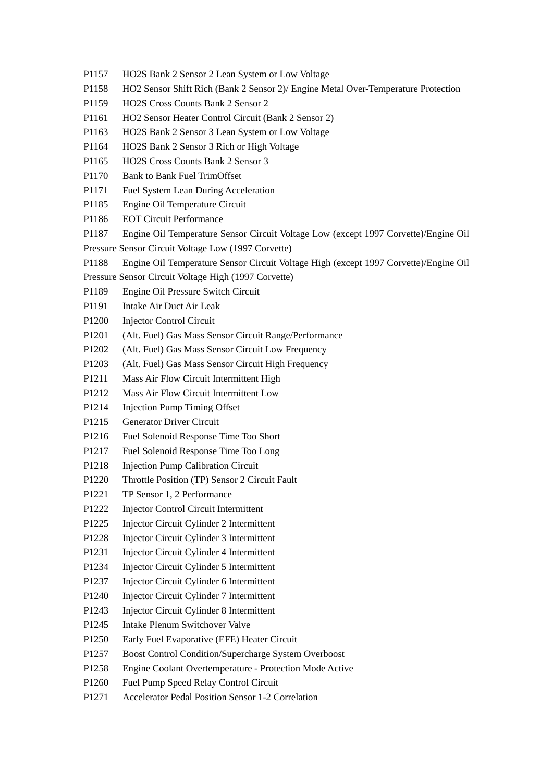- P1157 HO2S Bank 2 Sensor 2 Lean System or Low Voltage
- P1158 HO2 Sensor Shift Rich (Bank 2 Sensor 2)/ Engine Metal Over-Temperature Protection
- P1159 HO2S Cross Counts Bank 2 Sensor 2
- P1161 HO2 Sensor Heater Control Circuit (Bank 2 Sensor 2)
- P1163 HO2S Bank 2 Sensor 3 Lean System or Low Voltage
- P1164 HO2S Bank 2 Sensor 3 Rich or High Voltage
- P1165 HO2S Cross Counts Bank 2 Sensor 3
- P1170 Bank to Bank Fuel TrimOffset
- P1171 Fuel System Lean During Acceleration
- P1185 Engine Oil Temperature Circuit
- P1186 EOT Circuit Performance
- P1187 Engine Oil Temperature Sensor Circuit Voltage Low (except 1997 Corvette)/Engine Oil
- Pressure Sensor Circuit Voltage Low (1997 Corvette)
- P1188 Engine Oil Temperature Sensor Circuit Voltage High (except 1997 Corvette)/Engine Oil

Pressure Sensor Circuit Voltage High (1997 Corvette)

- P1189 Engine Oil Pressure Switch Circuit
- P1191 Intake Air Duct Air Leak
- P1200 Injector Control Circuit
- P1201 (Alt. Fuel) Gas Mass Sensor Circuit Range/Performance
- P1202 (Alt. Fuel) Gas Mass Sensor Circuit Low Frequency
- P1203 (Alt. Fuel) Gas Mass Sensor Circuit High Frequency
- P1211 Mass Air Flow Circuit Intermittent High
- P1212 Mass Air Flow Circuit Intermittent Low
- P1214 Injection Pump Timing Offset
- P1215 Generator Driver Circuit
- P1216 Fuel Solenoid Response Time Too Short
- P1217 Fuel Solenoid Response Time Too Long
- P1218 Injection Pump Calibration Circuit
- P1220 Throttle Position (TP) Sensor 2 Circuit Fault
- P1221 TP Sensor 1, 2 Performance
- P1222 Injector Control Circuit Intermittent
- P1225 Injector Circuit Cylinder 2 Intermittent
- P1228 Injector Circuit Cylinder 3 Intermittent
- P1231 Injector Circuit Cylinder 4 Intermittent
- P1234 Injector Circuit Cylinder 5 Intermittent
- P1237 Injector Circuit Cylinder 6 Intermittent
- P1240 Injector Circuit Cylinder 7 Intermittent
- P1243 Injector Circuit Cylinder 8 Intermittent
- P1245 Intake Plenum Switchover Valve
- P1250 Early Fuel Evaporative (EFE) Heater Circuit
- P1257 Boost Control Condition/Supercharge System Overboost
- P1258 Engine Coolant Overtemperature Protection Mode Active
- P1260 Fuel Pump Speed Relay Control Circuit
- P1271 Accelerator Pedal Position Sensor 1-2 Correlation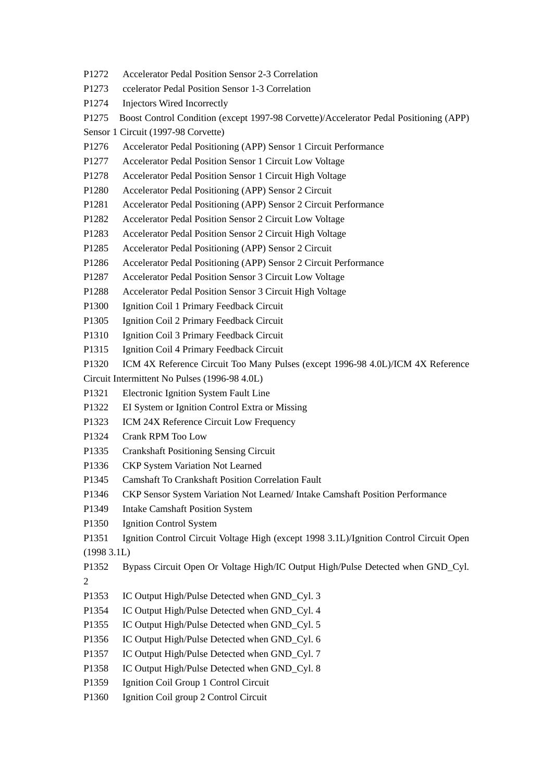- P1272 Accelerator Pedal Position Sensor 2-3 Correlation
- P1273 ccelerator Pedal Position Sensor 1-3 Correlation
- P1274 Injectors Wired Incorrectly
- P1275 Boost Control Condition (except 1997-98 Corvette)/Accelerator Pedal Positioning (APP)
- Sensor 1 Circuit (1997-98 Corvette)
- P1276 Accelerator Pedal Positioning (APP) Sensor 1 Circuit Performance
- P1277 Accelerator Pedal Position Sensor 1 Circuit Low Voltage
- P1278 Accelerator Pedal Position Sensor 1 Circuit High Voltage
- P1280 Accelerator Pedal Positioning (APP) Sensor 2 Circuit
- P1281 Accelerator Pedal Positioning (APP) Sensor 2 Circuit Performance
- P1282 Accelerator Pedal Position Sensor 2 Circuit Low Voltage
- P1283 Accelerator Pedal Position Sensor 2 Circuit High Voltage
- P1285 Accelerator Pedal Positioning (APP) Sensor 2 Circuit
- P1286 Accelerator Pedal Positioning (APP) Sensor 2 Circuit Performance
- P1287 Accelerator Pedal Position Sensor 3 Circuit Low Voltage
- P1288 Accelerator Pedal Position Sensor 3 Circuit High Voltage
- P1300 Ignition Coil 1 Primary Feedback Circuit
- P1305 Ignition Coil 2 Primary Feedback Circuit
- P1310 Ignition Coil 3 Primary Feedback Circuit
- P1315 Ignition Coil 4 Primary Feedback Circuit
- P1320 ICM 4X Reference Circuit Too Many Pulses (except 1996-98 4.0L)/ICM 4X Reference
- Circuit Intermittent No Pulses (1996-98 4.0L)
- P1321 Electronic Ignition System Fault Line
- P1322 EI System or Ignition Control Extra or Missing
- P1323 ICM 24X Reference Circuit Low Frequency
- P1324 Crank RPM Too Low
- P1335 Crankshaft Positioning Sensing Circuit
- P1336 CKP System Variation Not Learned
- P1345 Camshaft To Crankshaft Position Correlation Fault
- P1346 CKP Sensor System Variation Not Learned/ Intake Camshaft Position Performance
- P1349 Intake Camshaft Position System
- P1350 Ignition Control System
- P1351 Ignition Control Circuit Voltage High (except 1998 3.1L)/Ignition Control Circuit Open (1998 3.1L)
- 
- P1352 Bypass Circuit Open Or Voltage High/IC Output High/Pulse Detected when GND\_Cyl.
- 2
- P1353 IC Output High/Pulse Detected when GND\_Cyl. 3
- P1354 IC Output High/Pulse Detected when GND\_Cyl. 4
- P1355 IC Output High/Pulse Detected when GND\_Cyl. 5
- P1356 IC Output High/Pulse Detected when GND\_Cyl. 6
- P1357 IC Output High/Pulse Detected when GND\_Cyl. 7
- P1358 IC Output High/Pulse Detected when GND\_Cyl. 8
- P1359 Ignition Coil Group 1 Control Circuit
- P1360 Ignition Coil group 2 Control Circuit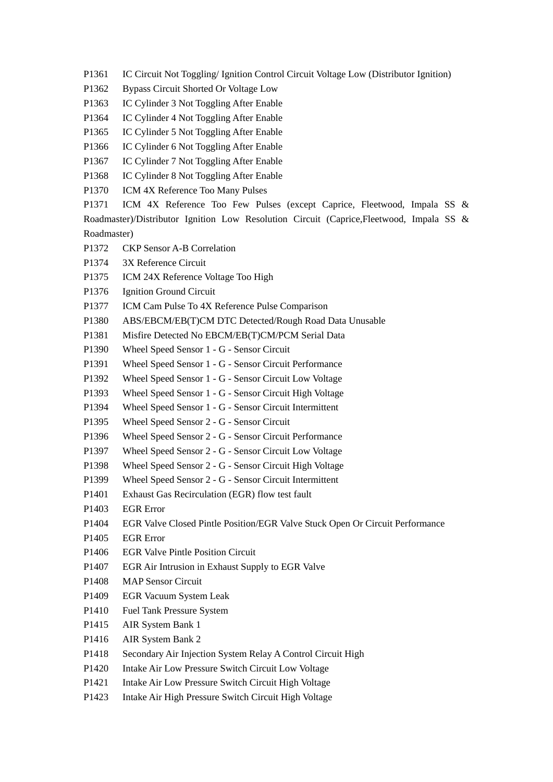- P1361 IC Circuit Not Toggling/ Ignition Control Circuit Voltage Low (Distributor Ignition)
- P1362 Bypass Circuit Shorted Or Voltage Low
- P1363 IC Cylinder 3 Not Toggling After Enable
- P1364 IC Cylinder 4 Not Toggling After Enable
- P1365 IC Cylinder 5 Not Toggling After Enable
- P1366 IC Cylinder 6 Not Toggling After Enable
- P1367 IC Cylinder 7 Not Toggling After Enable
- P1368 IC Cylinder 8 Not Toggling After Enable
- P1370 ICM 4X Reference Too Many Pulses

P1371 ICM 4X Reference Too Few Pulses (except Caprice, Fleetwood, Impala SS & Roadmaster)/Distributor Ignition Low Resolution Circuit (Caprice,Fleetwood, Impala SS & Roadmaster)

- P1372 CKP Sensor A-B Correlation
- P1374 3X Reference Circuit
- P1375 ICM 24X Reference Voltage Too High
- P1376 Ignition Ground Circuit
- P1377 ICM Cam Pulse To 4X Reference Pulse Comparison
- P1380 ABS/EBCM/EB(T)CM DTC Detected/Rough Road Data Unusable
- P1381 Misfire Detected No EBCM/EB(T)CM/PCM Serial Data
- P1390 Wheel Speed Sensor 1 G Sensor Circuit
- P1391 Wheel Speed Sensor 1 G Sensor Circuit Performance
- P1392 Wheel Speed Sensor 1 G Sensor Circuit Low Voltage
- P1393 Wheel Speed Sensor 1 G Sensor Circuit High Voltage
- P1394 Wheel Speed Sensor 1 G Sensor Circuit Intermittent
- P1395 Wheel Speed Sensor 2 G Sensor Circuit
- P1396 Wheel Speed Sensor 2 G Sensor Circuit Performance
- P1397 Wheel Speed Sensor 2 G Sensor Circuit Low Voltage
- P1398 Wheel Speed Sensor 2 G Sensor Circuit High Voltage
- P1399 Wheel Speed Sensor 2 G Sensor Circuit Intermittent
- P1401 Exhaust Gas Recirculation (EGR) flow test fault
- P1403 EGR Error
- P1404 EGR Valve Closed Pintle Position/EGR Valve Stuck Open Or Circuit Performance
- P1405 EGR Error
- P1406 EGR Valve Pintle Position Circuit
- P1407 EGR Air Intrusion in Exhaust Supply to EGR Valve
- P1408 MAP Sensor Circuit
- P1409 EGR Vacuum System Leak
- P1410 Fuel Tank Pressure System
- P1415 AIR System Bank 1
- P1416 AIR System Bank 2
- P1418 Secondary Air Injection System Relay A Control Circuit High
- P1420 Intake Air Low Pressure Switch Circuit Low Voltage
- P1421 Intake Air Low Pressure Switch Circuit High Voltage
- P1423 Intake Air High Pressure Switch Circuit High Voltage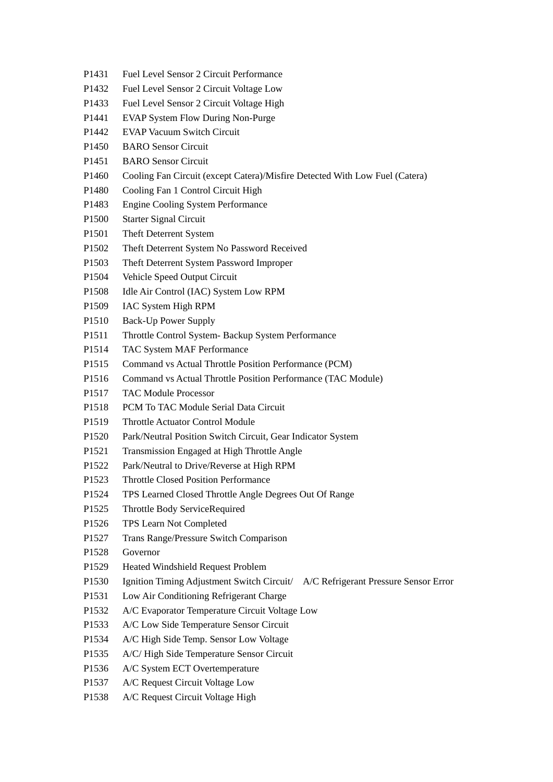- P1431 Fuel Level Sensor 2 Circuit Performance
- P1432 Fuel Level Sensor 2 Circuit Voltage Low
- P1433 Fuel Level Sensor 2 Circuit Voltage High
- P1441 EVAP System Flow During Non-Purge
- P1442 EVAP Vacuum Switch Circuit
- P1450 BARO Sensor Circuit
- P1451 BARO Sensor Circuit
- P1460 Cooling Fan Circuit (except Catera)/Misfire Detected With Low Fuel (Catera)
- P1480 Cooling Fan 1 Control Circuit High
- P1483 Engine Cooling System Performance
- P1500 Starter Signal Circuit
- P1501 Theft Deterrent System
- P1502 Theft Deterrent System No Password Received
- P1503 Theft Deterrent System Password Improper
- P1504 Vehicle Speed Output Circuit
- P1508 Idle Air Control (IAC) System Low RPM
- P1509 IAC System High RPM
- P1510 Back-Up Power Supply
- P1511 Throttle Control System- Backup System Performance
- P1514 TAC System MAF Performance
- P1515 Command vs Actual Throttle Position Performance (PCM)
- P1516 Command vs Actual Throttle Position Performance (TAC Module)
- P1517 TAC Module Processor
- P1518 PCM To TAC Module Serial Data Circuit
- P1519 Throttle Actuator Control Module
- P1520 Park/Neutral Position Switch Circuit, Gear Indicator System
- P1521 Transmission Engaged at High Throttle Angle
- P1522 Park/Neutral to Drive/Reverse at High RPM
- P1523 Throttle Closed Position Performance
- P1524 TPS Learned Closed Throttle Angle Degrees Out Of Range
- P1525 Throttle Body ServiceRequired
- P1526 TPS Learn Not Completed
- P1527 Trans Range/Pressure Switch Comparison
- P1528 Governor
- P1529 Heated Windshield Request Problem
- P1530 Ignition Timing Adjustment Switch Circuit/ A/C Refrigerant Pressure Sensor Error
- P1531 Low Air Conditioning Refrigerant Charge
- P1532 A/C Evaporator Temperature Circuit Voltage Low
- P1533 A/C Low Side Temperature Sensor Circuit
- P1534 A/C High Side Temp. Sensor Low Voltage
- P1535 A/C/ High Side Temperature Sensor Circuit
- P1536 A/C System ECT Overtemperature
- P1537 A/C Request Circuit Voltage Low
- P1538 A/C Request Circuit Voltage High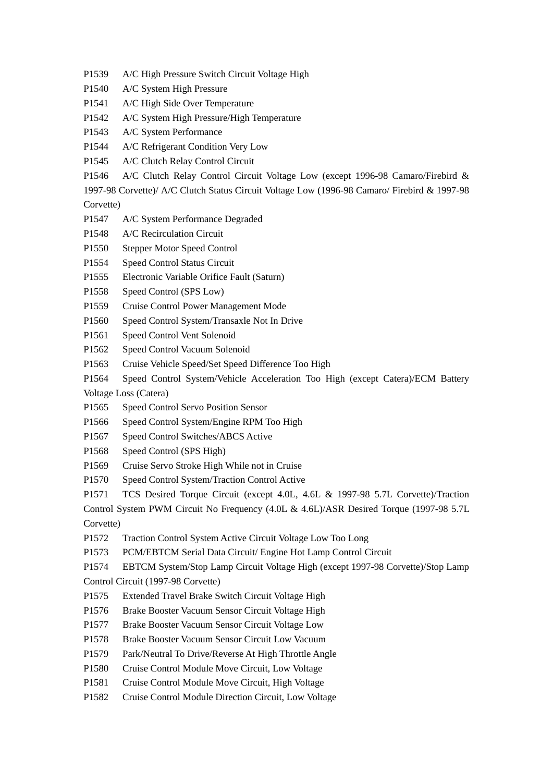- P1539 A/C High Pressure Switch Circuit Voltage High
- P1540 A/C System High Pressure
- P1541 A/C High Side Over Temperature
- P1542 A/C System High Pressure/High Temperature
- P1543 A/C System Performance
- P1544 A/C Refrigerant Condition Very Low
- P1545 A/C Clutch Relay Control Circuit
- P1546 A/C Clutch Relay Control Circuit Voltage Low (except 1996-98 Camaro/Firebird &

1997-98 Corvette)/ A/C Clutch Status Circuit Voltage Low (1996-98 Camaro/ Firebird & 1997-98 Corvette)

- P1547 A/C System Performance Degraded
- P1548 A/C Recirculation Circuit
- P1550 Stepper Motor Speed Control
- P1554 Speed Control Status Circuit
- P1555 Electronic Variable Orifice Fault (Saturn)
- P1558 Speed Control (SPS Low)
- P1559 Cruise Control Power Management Mode
- P1560 Speed Control System/Transaxle Not In Drive
- P1561 Speed Control Vent Solenoid
- P1562 Speed Control Vacuum Solenoid
- P1563 Cruise Vehicle Speed/Set Speed Difference Too High
- P1564 Speed Control System/Vehicle Acceleration Too High (except Catera)/ECM Battery Voltage Loss (Catera)
- P1565 Speed Control Servo Position Sensor
- P1566 Speed Control System/Engine RPM Too High
- P1567 Speed Control Switches/ABCS Active
- P1568 Speed Control (SPS High)
- P1569 Cruise Servo Stroke High While not in Cruise
- P1570 Speed Control System/Traction Control Active
- P1571 TCS Desired Torque Circuit (except 4.0L, 4.6L & 1997-98 5.7L Corvette)/Traction

Control System PWM Circuit No Frequency (4.0L & 4.6L)/ASR Desired Torque (1997-98 5.7L Corvette)

- P1572 Traction Control System Active Circuit Voltage Low Too Long
- P1573 PCM/EBTCM Serial Data Circuit/ Engine Hot Lamp Control Circuit

P1574 EBTCM System/Stop Lamp Circuit Voltage High (except 1997-98 Corvette)/Stop Lamp

- Control Circuit (1997-98 Corvette)
- P1575 Extended Travel Brake Switch Circuit Voltage High
- P1576 Brake Booster Vacuum Sensor Circuit Voltage High
- P1577 Brake Booster Vacuum Sensor Circuit Voltage Low
- P1578 Brake Booster Vacuum Sensor Circuit Low Vacuum
- P1579 Park/Neutral To Drive/Reverse At High Throttle Angle
- P1580 Cruise Control Module Move Circuit, Low Voltage
- P1581 Cruise Control Module Move Circuit, High Voltage
- P1582 Cruise Control Module Direction Circuit, Low Voltage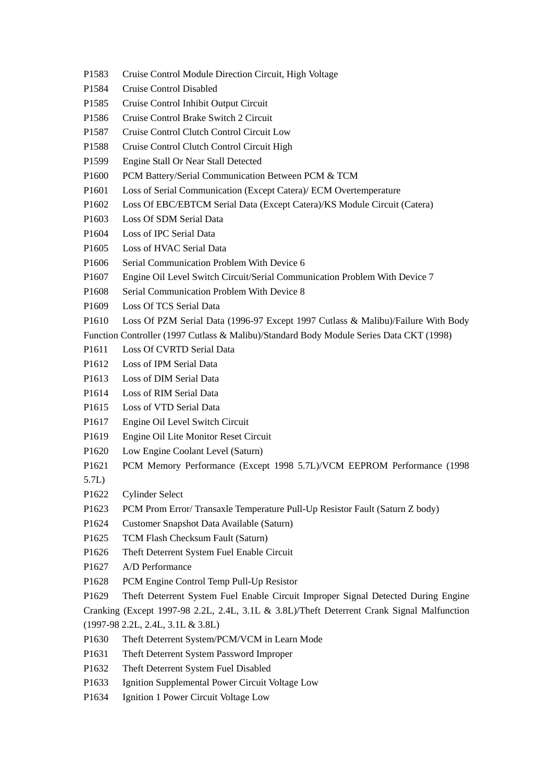- P1583 Cruise Control Module Direction Circuit, High Voltage
- P1584 Cruise Control Disabled
- P1585 Cruise Control Inhibit Output Circuit
- P1586 Cruise Control Brake Switch 2 Circuit
- P1587 Cruise Control Clutch Control Circuit Low
- P1588 Cruise Control Clutch Control Circuit High
- P1599 Engine Stall Or Near Stall Detected
- P1600 PCM Battery/Serial Communication Between PCM & TCM
- P1601 Loss of Serial Communication (Except Catera)/ ECM Overtemperature
- P1602 Loss Of EBC/EBTCM Serial Data (Except Catera)/KS Module Circuit (Catera)
- P1603 Loss Of SDM Serial Data
- P1604 Loss of IPC Serial Data
- P1605 Loss of HVAC Serial Data
- P1606 Serial Communication Problem With Device 6
- P1607 Engine Oil Level Switch Circuit/Serial Communication Problem With Device 7
- P1608 Serial Communication Problem With Device 8
- P1609 Loss Of TCS Serial Data
- P1610 Loss Of PZM Serial Data (1996-97 Except 1997 Cutlass & Malibu)/Failure With Body
- Function Controller (1997 Cutlass & Malibu)/Standard Body Module Series Data CKT (1998)
- P1611 Loss Of CVRTD Serial Data
- P1612 Loss of IPM Serial Data
- P1613 Loss of DIM Serial Data
- P1614 Loss of RIM Serial Data
- P1615 Loss of VTD Serial Data
- P1617 Engine Oil Level Switch Circuit
- P1619 Engine Oil Lite Monitor Reset Circuit
- P1620 Low Engine Coolant Level (Saturn)
- P1621 PCM Memory Performance (Except 1998 5.7L)/VCM EEPROM Performance (1998
- 5.7L)
- P1622 Cylinder Select
- P1623 PCM Prom Error/ Transaxle Temperature Pull-Up Resistor Fault (Saturn Z body)
- P1624 Customer Snapshot Data Available (Saturn)
- P1625 TCM Flash Checksum Fault (Saturn)
- P1626 Theft Deterrent System Fuel Enable Circuit
- P1627 A/D Performance
- P1628 PCM Engine Control Temp Pull-Up Resistor
- P1629 Theft Deterrent System Fuel Enable Circuit Improper Signal Detected During Engine

Cranking (Except 1997-98 2.2L, 2.4L, 3.1L & 3.8L)/Theft Deterrent Crank Signal Malfunction (1997-98 2.2L, 2.4L, 3.1L & 3.8L)

- P1630 Theft Deterrent System/PCM/VCM in Learn Mode
- P1631 Theft Deterrent System Password Improper
- P1632 Theft Deterrent System Fuel Disabled
- P1633 Ignition Supplemental Power Circuit Voltage Low
- P1634 Ignition 1 Power Circuit Voltage Low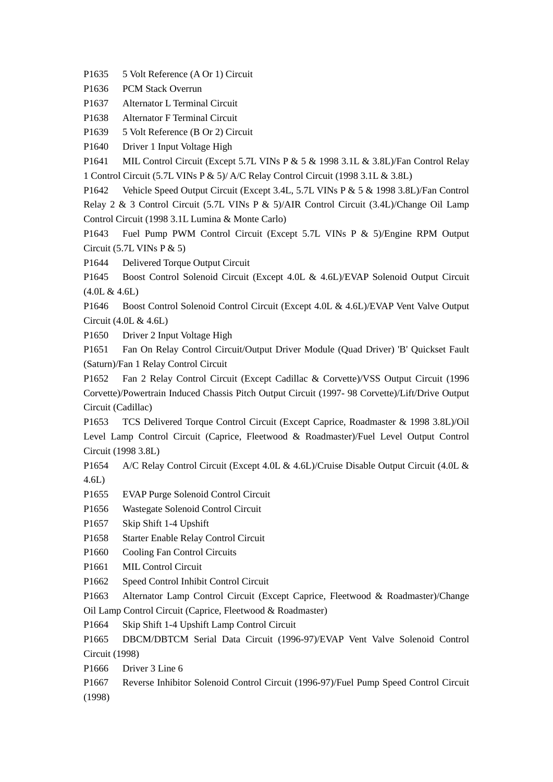P1635 5 Volt Reference (A Or 1) Circuit

P1636 PCM Stack Overrun

P1637 Alternator L Terminal Circuit

P1638 Alternator F Terminal Circuit

P1639 5 Volt Reference (B Or 2) Circuit

P1640 Driver 1 Input Voltage High

P1641 MIL Control Circuit (Except 5.7L VINs P & 5 & 1998 3.1L & 3.8L)/Fan Control Relay 1 Control Circuit (5.7L VINs P & 5)/ A/C Relay Control Circuit (1998 3.1L & 3.8L)

P1642 Vehicle Speed Output Circuit (Except 3.4L, 5.7L VINs P & 5 & 1998 3.8L)/Fan Control Relay 2 & 3 Control Circuit (5.7L VINs P & 5)/AIR Control Circuit (3.4L)/Change Oil Lamp Control Circuit (1998 3.1L Lumina & Monte Carlo)

P1643 Fuel Pump PWM Control Circuit (Except 5.7L VINs P & 5)/Engine RPM Output Circuit (5.7L VINs P & 5)

P1644 Delivered Torque Output Circuit

P1645 Boost Control Solenoid Circuit (Except 4.0L & 4.6L)/EVAP Solenoid Output Circuit (4.0L & 4.6L)

P1646 Boost Control Solenoid Control Circuit (Except 4.0L & 4.6L)/EVAP Vent Valve Output Circuit (4.0L & 4.6L)

P1650 Driver 2 Input Voltage High

P1651 Fan On Relay Control Circuit/Output Driver Module (Quad Driver) 'B' Quickset Fault (Saturn)/Fan 1 Relay Control Circuit

P1652 Fan 2 Relay Control Circuit (Except Cadillac & Corvette)/VSS Output Circuit (1996 Corvette)/Powertrain Induced Chassis Pitch Output Circuit (1997- 98 Corvette)/Lift/Drive Output Circuit (Cadillac)

P1653 TCS Delivered Torque Control Circuit (Except Caprice, Roadmaster & 1998 3.8L)/Oil Level Lamp Control Circuit (Caprice, Fleetwood & Roadmaster)/Fuel Level Output Control Circuit (1998 3.8L)

P1654 A/C Relay Control Circuit (Except 4.0L & 4.6L)/Cruise Disable Output Circuit (4.0L & 4.6L)

P1655 EVAP Purge Solenoid Control Circuit

P1656 Wastegate Solenoid Control Circuit

P1657 Skip Shift 1-4 Upshift

P1658 Starter Enable Relay Control Circuit

P1660 Cooling Fan Control Circuits

P1661 MIL Control Circuit

P1662 Speed Control Inhibit Control Circuit

P1663 Alternator Lamp Control Circuit (Except Caprice, Fleetwood & Roadmaster)/Change Oil Lamp Control Circuit (Caprice, Fleetwood & Roadmaster)

P1664 Skip Shift 1-4 Upshift Lamp Control Circuit

P1665 DBCM/DBTCM Serial Data Circuit (1996-97)/EVAP Vent Valve Solenoid Control Circuit (1998)

P1666 Driver 3 Line 6

P1667 Reverse Inhibitor Solenoid Control Circuit (1996-97)/Fuel Pump Speed Control Circuit (1998)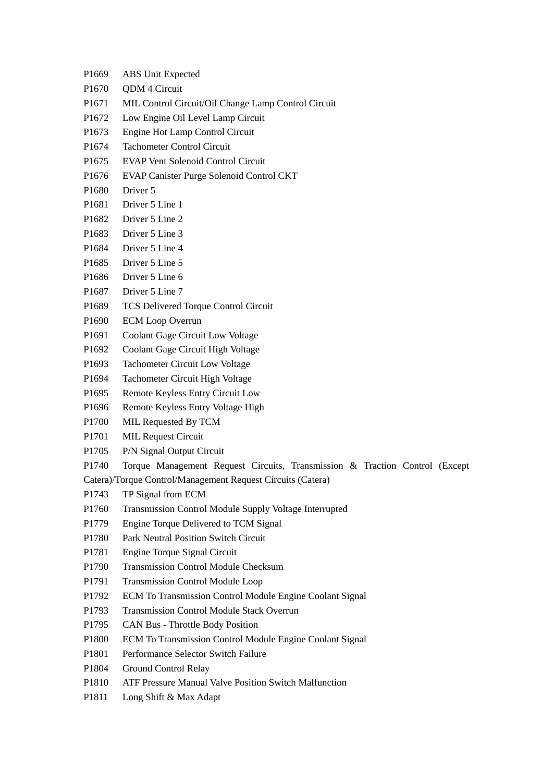- P1669 ABS Unit Expected
- P<sub>1670</sub> ODM 4 Circuit
- P1671 MIL Control Circuit/Oil Change Lamp Control Circuit
- P1672 Low Engine Oil Level Lamp Circuit
- P1673 Engine Hot Lamp Control Circuit
- P1674 Tachometer Control Circuit
- P1675 EVAP Vent Solenoid Control Circuit
- P1676 EVAP Canister Purge Solenoid Control CKT
- P<sub>1680</sub> Driver 5
- P1681 Driver 5 Line 1
- P1682 Driver 5 Line 2
- P1683 Driver 5 Line 3
- P1684 Driver 5 Line 4
- P1685 Driver 5 Line 5
- P1686 Driver 5 Line 6
- P1687 Driver 5 Line 7
- P1689 TCS Delivered Torque Control Circuit
- P1690 ECM Loop Overrun
- P1691 Coolant Gage Circuit Low Voltage
- P1692 Coolant Gage Circuit High Voltage
- P1693 Tachometer Circuit Low Voltage
- P1694 Tachometer Circuit High Voltage
- P1695 Remote Keyless Entry Circuit Low
- P1696 Remote Keyless Entry Voltage High
- P1700 MIL Requested By TCM
- P1701 MIL Request Circuit
- P1705 P/N Signal Output Circuit
- P1740 Torque Management Request Circuits, Transmission & Traction Control (Except
- Catera)/Torque Control/Management Request Circuits (Catera)
- P1743 TP Signal from ECM
- P1760 Transmission Control Module Supply Voltage Interrupted
- P1779 Engine Torque Delivered to TCM Signal
- P1780 Park Neutral Position Switch Circuit
- P1781 Engine Torque Signal Circuit
- P1790 Transmission Control Module Checksum
- P1791 Transmission Control Module Loop
- P1792 ECM To Transmission Control Module Engine Coolant Signal
- P1793 Transmission Control Module Stack Overrun
- P1795 CAN Bus Throttle Body Position
- P1800 ECM To Transmission Control Module Engine Coolant Signal
- P1801 Performance Selector Switch Failure
- P1804 Ground Control Relay
- P1810 ATF Pressure Manual Valve Position Switch Malfunction
- P1811 Long Shift & Max Adapt